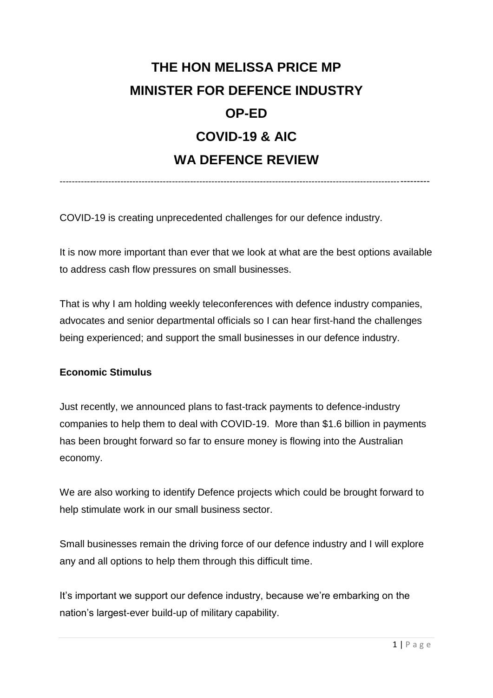## **THE HON MELISSA PRICE MP MINISTER FOR DEFENCE INDUSTRY OP-ED COVID-19 & AIC WA DEFENCE REVIEW**

-------------------------------------------------------------------------------------------------------------------------

COVID-19 is creating unprecedented challenges for our defence industry.

It is now more important than ever that we look at what are the best options available to address cash flow pressures on small businesses.

That is why I am holding weekly teleconferences with defence industry companies, advocates and senior departmental officials so I can hear first-hand the challenges being experienced; and support the small businesses in our defence industry.

## **Economic Stimulus**

Just recently, we announced plans to fast-track payments to defence-industry companies to help them to deal with COVID-19. More than \$1.6 billion in payments has been brought forward so far to ensure money is flowing into the Australian economy.

We are also working to identify Defence projects which could be brought forward to help stimulate work in our small business sector.

Small businesses remain the driving force of our defence industry and I will explore any and all options to help them through this difficult time.

It's important we support our defence industry, because we're embarking on the nation's largest-ever build-up of military capability.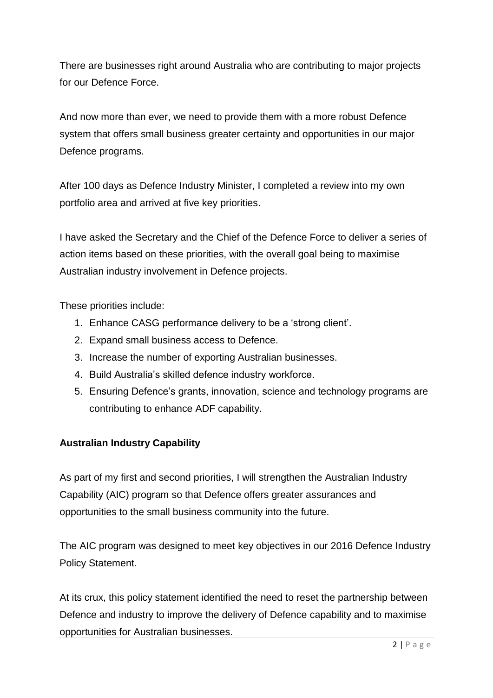There are businesses right around Australia who are contributing to major projects for our Defence Force.

And now more than ever, we need to provide them with a more robust Defence system that offers small business greater certainty and opportunities in our major Defence programs.

After 100 days as Defence Industry Minister, I completed a review into my own portfolio area and arrived at five key priorities.

I have asked the Secretary and the Chief of the Defence Force to deliver a series of action items based on these priorities, with the overall goal being to maximise Australian industry involvement in Defence projects.

These priorities include:

- 1. Enhance CASG performance delivery to be a 'strong client'.
- 2. Expand small business access to Defence.
- 3. Increase the number of exporting Australian businesses.
- 4. Build Australia's skilled defence industry workforce.
- 5. Ensuring Defence's grants, innovation, science and technology programs are contributing to enhance ADF capability.

## **Australian Industry Capability**

As part of my first and second priorities, I will strengthen the Australian Industry Capability (AIC) program so that Defence offers greater assurances and opportunities to the small business community into the future.

The AIC program was designed to meet key objectives in our 2016 Defence Industry Policy Statement.

At its crux, this policy statement identified the need to reset the partnership between Defence and industry to improve the delivery of Defence capability and to maximise opportunities for Australian businesses.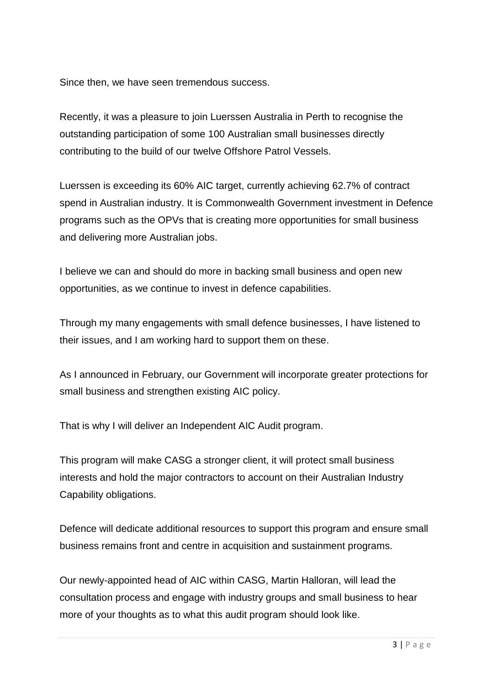Since then, we have seen tremendous success.

Recently, it was a pleasure to join Luerssen Australia in Perth to recognise the outstanding participation of some 100 Australian small businesses directly contributing to the build of our twelve Offshore Patrol Vessels.

Luerssen is exceeding its 60% AIC target, currently achieving 62.7% of contract spend in Australian industry. It is Commonwealth Government investment in Defence programs such as the OPVs that is creating more opportunities for small business and delivering more Australian jobs.

I believe we can and should do more in backing small business and open new opportunities, as we continue to invest in defence capabilities.

Through my many engagements with small defence businesses, I have listened to their issues, and I am working hard to support them on these.

As I announced in February, our Government will incorporate greater protections for small business and strengthen existing AIC policy.

That is why I will deliver an Independent AIC Audit program.

This program will make CASG a stronger client, it will protect small business interests and hold the major contractors to account on their Australian Industry Capability obligations.

Defence will dedicate additional resources to support this program and ensure small business remains front and centre in acquisition and sustainment programs.

Our newly-appointed head of AIC within CASG, Martin Halloran, will lead the consultation process and engage with industry groups and small business to hear more of your thoughts as to what this audit program should look like.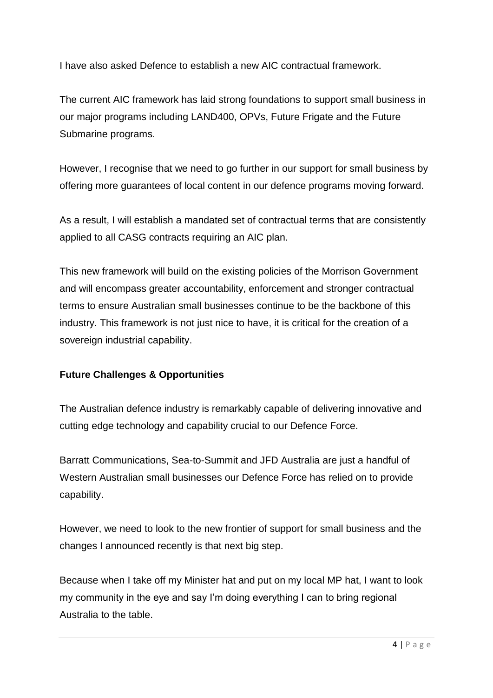I have also asked Defence to establish a new AIC contractual framework.

The current AIC framework has laid strong foundations to support small business in our major programs including LAND400, OPVs, Future Frigate and the Future Submarine programs.

However, I recognise that we need to go further in our support for small business by offering more guarantees of local content in our defence programs moving forward.

As a result, I will establish a mandated set of contractual terms that are consistently applied to all CASG contracts requiring an AIC plan.

This new framework will build on the existing policies of the Morrison Government and will encompass greater accountability, enforcement and stronger contractual terms to ensure Australian small businesses continue to be the backbone of this industry. This framework is not just nice to have, it is critical for the creation of a sovereign industrial capability.

## **Future Challenges & Opportunities**

The Australian defence industry is remarkably capable of delivering innovative and cutting edge technology and capability crucial to our Defence Force.

Barratt Communications, Sea-to-Summit and JFD Australia are just a handful of Western Australian small businesses our Defence Force has relied on to provide capability.

However, we need to look to the new frontier of support for small business and the changes I announced recently is that next big step.

Because when I take off my Minister hat and put on my local MP hat, I want to look my community in the eye and say I'm doing everything I can to bring regional Australia to the table.